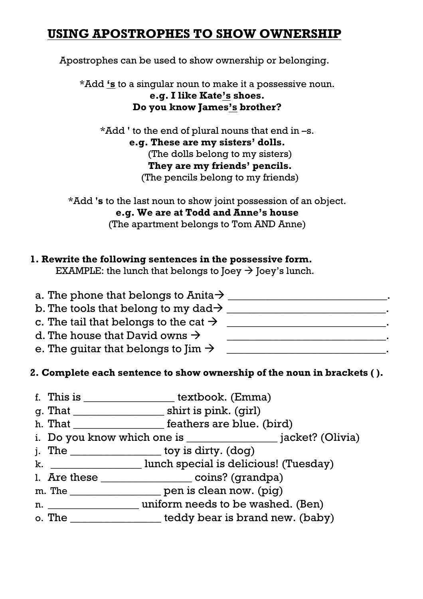## **USING APOSTROPHES TO SHOW OWNERSHIP**

Apostrophes can be used to show ownership or belonging.

\*Add **'s** to a singular noun to make it a possessive noun.

**e.g. I like Kate's shoes. Do you know James's brother?**

\*Add **'** to the end of plural nouns that end in –s. **e.g. These are my sisters' dolls.** (The dolls belong to my sisters) **They are my friends' pencils.** (The pencils belong to my friends)

\*Add **'s** to the last noun to show joint possession of an object. **e.g. We are at Todd and Anne's house** (The apartment belongs to Tom AND Anne)

## **1. Rewrite the following sentences in the possessive form.**

EXAMPLE: the lunch that belongs to Joey  $\rightarrow$  Joey's lunch.

| a. The phone that belongs to Anita $\rightarrow$  |  |
|---------------------------------------------------|--|
| b. The tools that belong to my dad $\rightarrow$  |  |
| c. The tail that belongs to the cat $\rightarrow$ |  |
| d. The house that David owns $\rightarrow$        |  |
| e. The quitar that belongs to Jim $\rightarrow$   |  |

## **2. Complete each sentence to show ownership of the noun in brackets ( ).**

- f. This is \_\_\_\_\_\_\_\_\_\_\_\_\_\_\_\_ textbook. (Emma)
- g. That \_\_\_\_\_\_\_\_\_\_\_\_\_\_\_\_ shirt is pink. (girl)
- h. That \_\_\_\_\_\_\_\_\_\_\_\_\_\_\_\_\_\_\_ feathers are blue. (bird)
- i. Do you know which one is \_\_\_\_\_\_\_\_\_\_\_\_\_\_\_\_ jacket? (Olivia)
- j. The \_\_\_\_\_\_\_\_\_\_\_\_\_\_\_\_ toy is dirty. (dog)
- k. \_\_\_\_\_\_\_\_\_\_\_\_\_\_\_\_ lunch special is delicious! (Tuesday)
- 1. Are these \_\_\_\_\_\_\_\_\_\_\_\_\_\_\_\_\_\_\_\_ coins? (grandpa)
- m. The \_\_\_\_\_\_\_\_\_\_\_\_\_\_\_\_\_\_\_\_ pen is clean now. (pig)
- n. \_\_\_\_\_\_\_\_\_\_\_\_\_\_\_\_ uniform needs to be washed. (Ben)
- o. The details teddy bear is brand new. (baby)